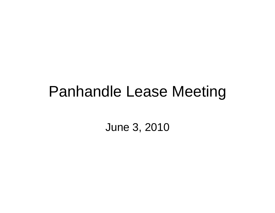#### Panhandle Lease Meeting

June 3, 2010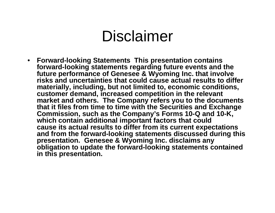#### Disclaimer

• **Forward-looking Statements This presentation contains forward-looking statements regarding future events and the looking future performance of Genesee & Wyoming Inc. that involve risks and uncertainties that could cause actual results to differ materially, including, but not limited to, economic conditions, customer demand increased competition in the relevant demand, market and others. The Company refers you to the documents that it files from time to time with the Securities and Exchange Commission, such as the Company's Forms 10-Q and 10-K, which contain additional important factors that could which cause its actual results to differ from its current expectations and from the forward-looking statements discussed during this presentation. Genesee & Wyoming Inc. disclaims any obligation to update the forward forward-looking statements contained looking in this presentation.**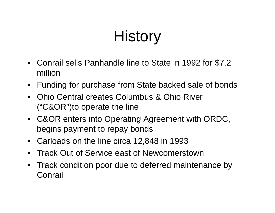# **History**

- Conrail sells Panhandle line to State in 1992 for \$7.2 million
- Funding for purchase from State backed sale of bonds
- Ohio Central creates Columbus & Ohio River ("C&OR")to operate the line
- C&OR enters into Operating Agreement with ORDC, begins payment to repay bonds
- Carloads on the line circa 12,848 in 1993
- Track Out of Service east of Newcomerstown
- Track condition poor due to deferred maintenance by Conrail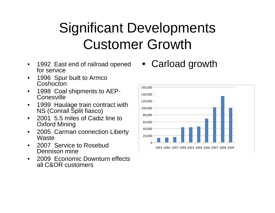#### Significant Developments Customer Growth

- $\bullet$ 1992 East end of railroad opened<br>for service 1992 East end of railroad opened • Carload growth<br>for service
- • 1996 Spur built to Armco Coshocton
- $\bullet$ • 1998 Coal shipments to AEP-  $\Big|_{\frac{160,000}{140,000}}^{160,000}$ **Conesville**
- $\bullet$  1999 Haulage train contract with NS (Conrail Split fiasco)
- •• 2001 5.5 miles of Cadiz line to Oxford Mining
- $\bullet$  2005 Carman connection Liberty **Waste**
- •• 2007 Service to Rosebud  $\overline{\phantom{a}}$   $\overline{\phantom{a}}$   $\overline{\phantom{a}}$   $\overline{\phantom{a}}$   $\overline{\phantom{a}}$   $\overline{\phantom{a}}$   $\overline{\phantom{a}}$   $\overline{\phantom{a}}$   $\overline{\phantom{a}}$   $\overline{\phantom{a}}$   $\overline{\phantom{a}}$   $\overline{\phantom{a}}$   $\overline{\phantom{a}}$   $\overline{\phantom{a}}$   $\overline{\phantom{a}}$   $\overline{\phantom{a}}$   $\over$ Dennison mine
- • 2009 Economic Downturn effects all C&OR customers

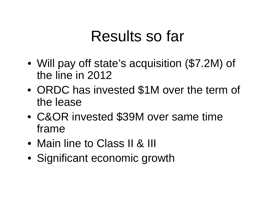#### Results so far

- $\bullet$ • Will pay off state's acquisition (\$7.2M) of the line in 2012
- •• ORDC has invested \$1M over the term of the lease
- •• C&OR invested \$39M over same time frame
- Main line to Class II & III
- Significant economic growth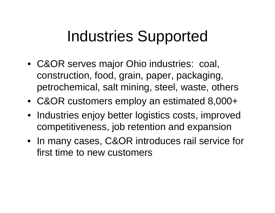### Industries Supported

- C&OR serves major Ohio industries: coal, construction, food, grain, paper, packaging, petrochemical, salt mining, steel, waste, others
- C&OR customers employ an estimated 8,000+
- Industries enjoy better logistics costs, improved competitiveness, job retention and expansion
- In many cases, C&OR introduces rail service for first time to new customers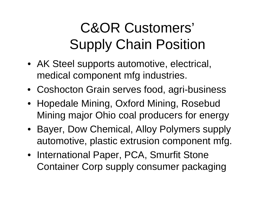#### C&OR Customers' Supply Chain Position

- AK Steel supports automotive, electrical, medical component mfg industries.
- Coshocton Grain serves food, agri-business
- Hopedale Mining, Oxford Mining, Rosebud Mining major Ohio coal producers for energy
- Bayer, Dow Chemical, Alloy Polymers supply automotive, plastic extrusion component mfg.
- International Paper, PCA, Smurfit Stone Container Corp supply consumer packaging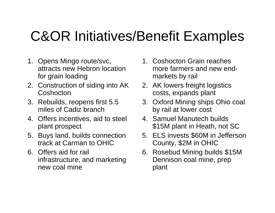#### C&OR Initiatives/Benefit Examples

- 1. Opens Mingo route/svc, attracts new Hebron locati for grain loading
- 2. Construction of siding into AK Coshocton
- 3. Rebuilds, reopens first 5.5 miles of Cadiz branch
- 4. Offers incentives, aid to steel  $\qquad \quad$  4. Samuel Manutech builds plant prospect
- 5. Buys land, builds connection track at Carman to OHIC
- 6. Offers aid for rail infrastructure, and marketing new coal mine
- 1. Coshocton Grain reaches bron location **cometarmers** and new endmarkets by rail
- 2. AK lowers freight logistics costs expands plant costs, expands
	- 3. Oxford Mining ships Ohio coal by rail at lower cost
	- 4. Samuel Manutech builds \$15M plant in Heath, not SC
	- 5. ELS invests \$60M in Jefferson Count y, \$2M in OHIC
	- 6. Rosebud Mining builds \$15M Dennison coal mine, prep plant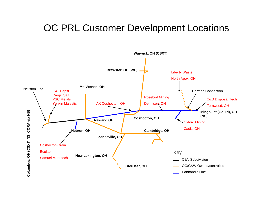#### OC PRL Customer Development Locations

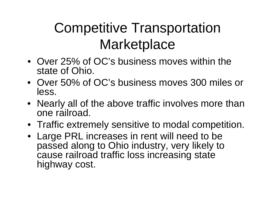#### Competitive Transportation Marketplace

- Over 25% of OC's business moves within the state of Ohio.
- Over 50% of OC's business moves 300 miles or less.
- Nearly all of the above traffic involves more than one railroad.
- Traffic extremely sensitive to modal competition.
- Large PRL increases in rent will need to be passed along to Ohio industry, very likely to cause railroad traffic loss increasing state highway cost.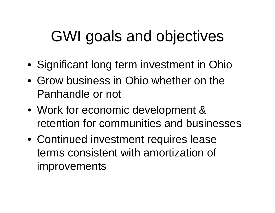## GWI goals and objectives

- Significant long term investment in Ohio
- Grow business in Ohio whether on the Panhandle or not
- Work for economic development & retention for communities and businesses
- Continued investment requires lease terms consistent with amortization of improvements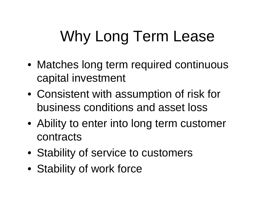# Why Long Term Lease

- Matches long term required continuous capital investment
- $\bullet\,$  Consistent with assumption of risk for business conditions and asset loss
- Ability to enter into long term customer contracts
- Stability of service to customers
- Stabilit y of work force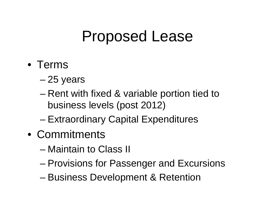### Proposed Lease

- Terms
	- 25 years
	- –– Rent with fixed & variable portion tied to business levels (post 2012)
	- –– Extraordinary Capital Expenditures
- Commitments
	- Maintain to Class II
	- –Provisions for Passenger and Excursions
	- Business Development & Retention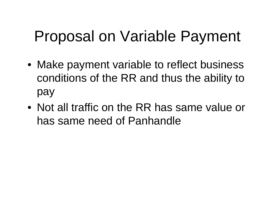# Proposal on Variable Payment

- Make payment variable to reflect business conditions of the RR and thus the ability to pay
- Not all traffic on the RR has same value or has same need of Panhandle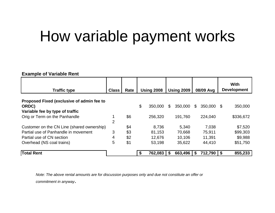# How variable payment works

#### **Example of Variable Rent**

| <b>Traffic type</b>                        | <b>Class</b> | Rate | <b>Using 2008</b> |         | <b>Using 2009</b> |         | 08/09 Avg |              | <b>With</b><br><b>Development</b> |           |
|--------------------------------------------|--------------|------|-------------------|---------|-------------------|---------|-----------|--------------|-----------------------------------|-----------|
| Proposed Fixed (exclusive of admin fee to  |              |      |                   |         |                   |         |           |              |                                   |           |
| ORDC)                                      |              |      | \$                | 350,000 | \$                | 350,000 | \$        | 350,000 \$   |                                   | 350,000   |
| Variable fee by type of traffic            |              |      |                   |         |                   |         |           |              |                                   |           |
| Orig or Term on the Panhandle              |              | \$6  |                   | 256,320 |                   | 191,760 |           | 224,040      |                                   | \$336,672 |
|                                            | 2            |      |                   |         |                   |         |           |              |                                   |           |
| Customer on the CN Line (shared ownership) |              | \$4  |                   | 8,736   |                   | 5,340   |           | 7,038        |                                   | \$7,520   |
| Partial use of Panhandle in movement       | 3            | \$3  |                   | 81,153  |                   | 70,668  |           | 75,911       |                                   | \$99,303  |
| Partial use of CN section                  | 4            | \$2  |                   | 12,676  |                   | 10,106  |           | 11,391       |                                   | \$9,988   |
| Overhead (NS coal trains)                  | 5            | \$1  |                   | 53,198  |                   | 35,622  |           | 44,410       |                                   | \$51,750  |
| <b>Total Rent</b>                          |              |      | \$                | 762,083 | -S                | 663,496 | \$        | 712,790   \$ |                                   | 855,233   |

Note: The above rental amounts are for discussion purposes only and due not constitute an offer or *commitment in anyway*.